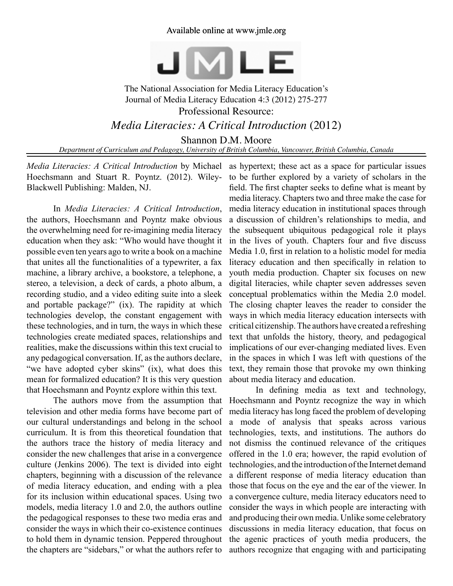## Available online at www.jmle.org



## The National Association for Media Literacy Education's Journal of Media Literacy Education 4:3 (2012) 275-277 Professional Resource: *Media Literacies: A Critical Introduction* (2012)

Shannon D.M. Moore

*Department of Curriculum and Pedagogy, University of British Columbia, Vancouver, British Columbia, Canada*

*Media Literacies: A Critical Introduction* by Michael Hoechsmann and Stuart R. Poyntz. (2012). Wiley-Blackwell Publishing: Malden, NJ.

In *Media Literacies: A Critical Introduction*, the authors, Hoechsmann and Poyntz make obvious the overwhelming need for re-imagining media literacy education when they ask: "Who would have thought it possible even ten years ago to write a book on a machine that unites all the functionalities of a typewriter, a fax machine, a library archive, a bookstore, a telephone, a stereo, a television, a deck of cards, a photo album, a recording studio, and a video editing suite into a sleek and portable package?" (ix). The rapidity at which technologies develop, the constant engagement with these technologies, and in turn, the ways in which these technologies create mediated spaces, relationships and realities, make the discussions within this text crucial to any pedagogical conversation. If, as the authors declare, "we have adopted cyber skins" (ix), what does this mean for formalized education? It is this very question that Hoechsmann and Poyntz explore within this text.

The authors move from the assumption that television and other media forms have become part of our cultural understandings and belong in the school curriculum. It is from this theoretical foundation that the authors trace the history of media literacy and consider the new challenges that arise in a convergence culture (Jenkins 2006). The text is divided into eight chapters, beginning with a discussion of the relevance of media literacy education, and ending with a plea for its inclusion within educational spaces. Using two models, media literacy 1.0 and 2.0, the authors outline the pedagogical responses to these two media eras and consider the ways in which their co-existence continues to hold them in dynamic tension. Peppered throughout the chapters are "sidebars," or what the authors refer to

as hypertext; these act as a space for particular issues to be further explored by a variety of scholars in the field. The first chapter seeks to define what is meant by media literacy. Chapters two and three make the case for media literacy education in institutional spaces through a discussion of children's relationships to media, and the subsequent ubiquitous pedagogical role it plays in the lives of youth. Chapters four and five discuss Media 1.0, first in relation to a holistic model for media literacy education and then specifically in relation to youth media production. Chapter six focuses on new digital literacies, while chapter seven addresses seven conceptual problematics within the Media 2.0 model. The closing chapter leaves the reader to consider the ways in which media literacy education intersects with critical citizenship. The authors have created a refreshing text that unfolds the history, theory, and pedagogical implications of our ever-changing mediated lives. Even in the spaces in which I was left with questions of the text, they remain those that provoke my own thinking about media literacy and education.

In defining media as text and technology, Hoechsmann and Poyntz recognize the way in which media literacy has long faced the problem of developing a mode of analysis that speaks across various technologies, texts, and institutions. The authors do not dismiss the continued relevance of the critiques offered in the 1.0 era; however, the rapid evolution of technologies, and the introduction of the Internet demand a different response of media literacy education than those that focus on the eye and the ear of the viewer. In a convergence culture, media literacy educators need to consider the ways in which people are interacting with and producing their own media. Unlike some celebratory discussions in media literacy education, that focus on the agenic practices of youth media producers, the authors recognize that engaging with and participating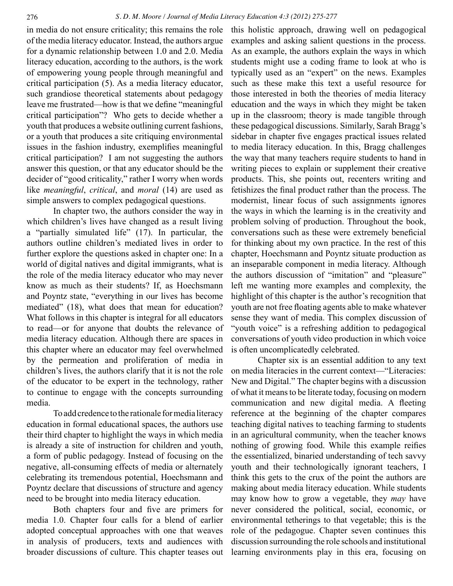in media do not ensure criticality; this remains the role of the media literacy educator. Instead, the authors argue for a dynamic relationship between 1.0 and 2.0. Media literacy education, according to the authors, is the work of empowering young people through meaningful and critical participation (5). As a media literacy educator, such grandiose theoretical statements about pedagogy leave me frustrated—how is that we define "meaningful critical participation"? Who gets to decide whether a youth that produces a website outlining current fashions, or a youth that produces a site critiquing environmental issues in the fashion industry, exemplifies meaningful critical participation? I am not suggesting the authors answer this question, or that any educator should be the decider of "good criticality," rather I worry when words like *meaningful*, *critical*, and *moral* (14) are used as simple answers to complex pedagogical questions.

In chapter two, the authors consider the way in which children's lives have changed as a result living a "partially simulated life" (17). In particular, the authors outline children's mediated lives in order to further explore the questions asked in chapter one: In a world of digital natives and digital immigrants, what is the role of the media literacy educator who may never know as much as their students? If, as Hoechsmann and Poyntz state, "everything in our lives has become mediated" (18), what does that mean for education? What follows in this chapter is integral for all educators to read—or for anyone that doubts the relevance of media literacy education. Although there are spaces in this chapter where an educator may feel overwhelmed by the permeation and proliferation of media in children's lives, the authors clarify that it is not the role of the educator to be expert in the technology, rather to continue to engage with the concepts surrounding media.

To add credence to the rationale for media literacy education in formal educational spaces, the authors use their third chapter to highlight the ways in which media is already a site of instruction for children and youth, a form of public pedagogy. Instead of focusing on the negative, all-consuming effects of media or alternately celebrating its tremendous potential, Hoechsmann and Poyntz declare that discussions of structure and agency need to be brought into media literacy education.

Both chapters four and five are primers for media 1.0. Chapter four calls for a blend of earlier adopted conceptual approaches with one that weaves in analysis of producers, texts and audiences with broader discussions of culture. This chapter teases out this holistic approach, drawing well on pedagogical examples and asking salient questions in the process. As an example, the authors explain the ways in which students might use a coding frame to look at who is typically used as an "expert" on the news. Examples such as these make this text a useful resource for those interested in both the theories of media literacy education and the ways in which they might be taken up in the classroom; theory is made tangible through these pedagogical discussions. Similarly, Sarah Bragg's sidebar in chapter five engages practical issues related to media literacy education. In this, Bragg challenges the way that many teachers require students to hand in writing pieces to explain or supplement their creative products. This, she points out, recenters writing and fetishizes the final product rather than the process. The modernist, linear focus of such assignments ignores the ways in which the learning is in the creativity and problem solving of production. Throughout the book, conversations such as these were extremely beneficial for thinking about my own practice. In the rest of this chapter, Hoechsmann and Poyntz situate production as an inseparable component in media literacy. Although the authors discussion of "imitation" and "pleasure" left me wanting more examples and complexity, the highlight of this chapter is the author's recognition that youth are not free floating agents able to make whatever sense they want of media. This complex discussion of "youth voice" is a refreshing addition to pedagogical conversations of youth video production in which voice is often uncomplicatedly celebrated.

Chapter six is an essential addition to any text on media literacies in the current context—"Literacies: New and Digital." The chapter begins with a discussion of what it means to be literate today, focusing on modern communication and new digital media. A fleeting reference at the beginning of the chapter compares teaching digital natives to teaching farming to students in an agricultural community, when the teacher knows nothing of growing food. While this example reifies the essentialized, binaried understanding of tech savvy youth and their technologically ignorant teachers, I think this gets to the crux of the point the authors are making about media literacy education. While students may know how to grow a vegetable, they *may* have never considered the political, social, economic, or environmental tetherings to that vegetable; this is the role of the pedagogue. Chapter seven continues this discussion surrounding the role schools and institutional learning environments play in this era, focusing on